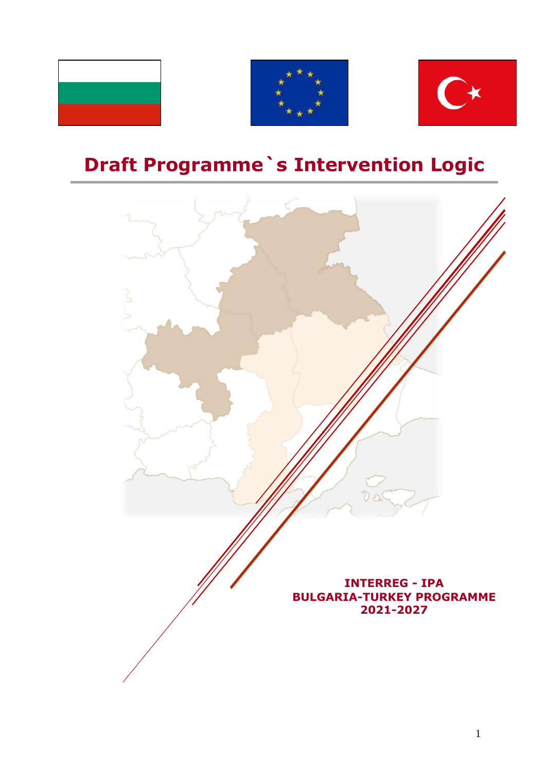





# **Draft Programme`s Intervention Logic**

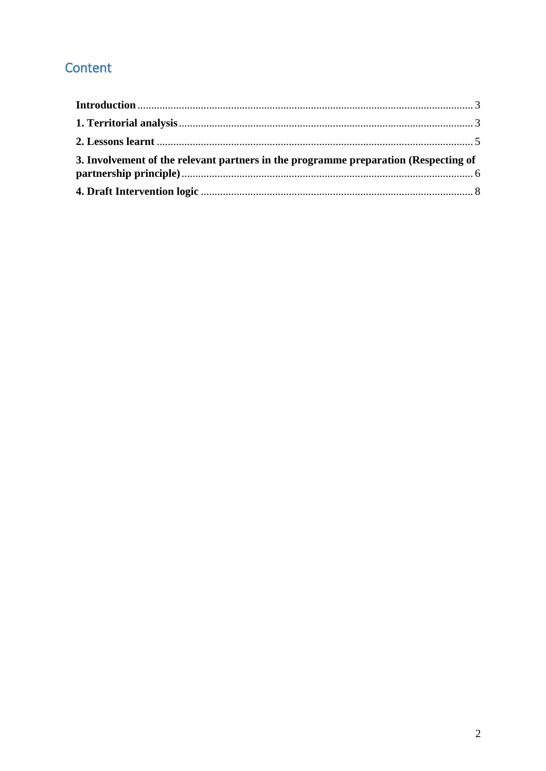# Content

| 3. Involvement of the relevant partners in the programme preparation (Respecting of |  |
|-------------------------------------------------------------------------------------|--|
|                                                                                     |  |
|                                                                                     |  |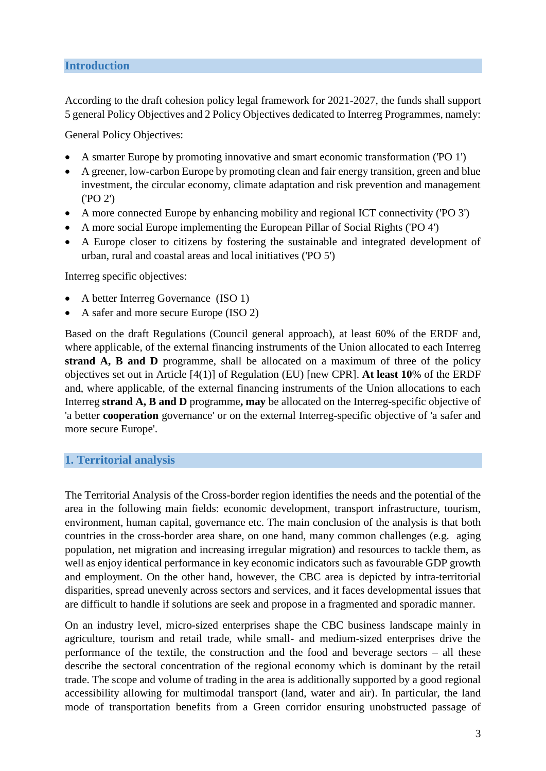#### <span id="page-2-0"></span>**Introduction**

According to the draft cohesion policy legal framework for 2021-2027, the funds shall support 5 general Policy Objectives and 2 Policy Objectives dedicated to Interreg Programmes, namely:

General Policy Objectives:

- A smarter Europe by promoting innovative and smart economic transformation ('PO 1')
- A greener, low-carbon Europe by promoting clean and fair energy transition, green and blue investment, the circular economy, climate adaptation and risk prevention and management ('PO 2')
- A more connected Europe by enhancing mobility and regional ICT connectivity ('PO 3')
- A more social Europe implementing the European Pillar of Social Rights ('PO 4')
- A Europe closer to citizens by fostering the sustainable and integrated development of urban, rural and coastal areas and local initiatives ('PO 5')

Interreg specific objectives:

- A better Interreg Governance (ISO 1)
- A safer and more secure Europe (ISO 2)

Based on the draft Regulations (Council general approach), at least 60% of the ERDF and, where applicable, of the external financing instruments of the Union allocated to each Interreg **strand A, B and D** programme, shall be allocated on a maximum of three of the policy objectives set out in Article [4(1)] of Regulation (EU) [new CPR]. **At least 10**% of the ERDF and, where applicable, of the external financing instruments of the Union allocations to each Interreg **strand A, B and D** programme**, may** be allocated on the Interreg-specific objective of 'a better **cooperation** governance' or on the external Interreg-specific objective of 'a safer and more secure Europe'.

#### <span id="page-2-1"></span>**1. Territorial analysis**

The Territorial Analysis of the Cross-border region identifies the needs and the potential of the area in the following main fields: economic development, transport infrastructure, tourism, environment, human capital, governance etc. The main conclusion of the analysis is that both countries in the cross-border area share, on one hand, many common challenges (e.g. aging population, net migration and increasing irregular migration) and resources to tackle them, as well as enjoy identical performance in key economic indicators such as favourable GDP growth and employment. On the other hand, however, the CBC area is depicted by intra-territorial disparities, spread unevenly across sectors and services, and it faces developmental issues that are difficult to handle if solutions are seek and propose in a fragmented and sporadic manner.

On an industry level, micro-sized enterprises shape the CBC business landscape mainly in agriculture, tourism and retail trade, while small- and medium-sized enterprises drive the performance of the textile, the construction and the food and beverage sectors – all these describe the sectoral concentration of the regional economy which is dominant by the retail trade. The scope and volume of trading in the area is additionally supported by a good regional accessibility allowing for multimodal transport (land, water and air). In particular, the land mode of transportation benefits from a Green corridor ensuring unobstructed passage of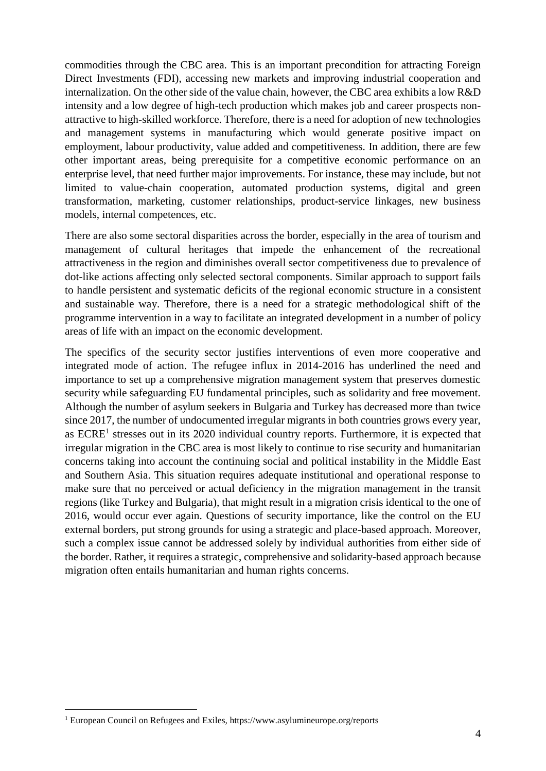commodities through the CBC area. This is an important precondition for attracting Foreign Direct Investments (FDI), accessing new markets and improving industrial cooperation and internalization. On the other side of the value chain, however, the CBC area exhibits a low R&D intensity and a low degree of high-tech production which makes job and career prospects nonattractive to high-skilled workforce. Therefore, there is a need for adoption of new technologies and management systems in manufacturing which would generate positive impact on employment, labour productivity, value added and competitiveness. In addition, there are few other important areas, being prerequisite for a competitive economic performance on an enterprise level, that need further major improvements. For instance, these may include, but not limited to value-chain cooperation, automated production systems, digital and green transformation, marketing, customer relationships, product-service linkages, new business models, internal competences, etc.

There are also some sectoral disparities across the border, especially in the area of tourism and management of cultural heritages that impede the enhancement of the recreational attractiveness in the region and diminishes overall sector competitiveness due to prevalence of dot-like actions affecting only selected sectoral components. Similar approach to support fails to handle persistent and systematic deficits of the regional economic structure in a consistent and sustainable way. Therefore, there is a need for a strategic methodological shift of the programme intervention in a way to facilitate an integrated development in a number of policy areas of life with an impact on the economic development.

The specifics of the security sector justifies interventions of even more cooperative and integrated mode of action. The refugee influx in 2014-2016 has underlined the need and importance to set up a comprehensive migration management system that preserves domestic security while safeguarding EU fundamental principles, such as solidarity and free movement. Although the number of asylum seekers in Bulgaria and Turkey has decreased more than twice since 2017, the number of undocumented irregular migrants in both countries grows every year, as  $ECRE<sup>1</sup>$  stresses out in its 2020 individual country reports. Furthermore, it is expected that irregular migration in the CBC area is most likely to continue to rise security and humanitarian concerns taking into account the continuing social and political instability in the Middle East and Southern Asia. This situation requires adequate institutional and operational response to make sure that no perceived or actual deficiency in the migration management in the transit regions (like Turkey and Bulgaria), that might result in a migration crisis identical to the one of 2016, would occur ever again. Questions of security importance, like the control on the EU external borders, put strong grounds for using a strategic and place-based approach. Moreover, such a complex issue cannot be addressed solely by individual authorities from either side of the border. Rather, it requires a strategic, comprehensive and solidarity-based approach because migration often entails humanitarian and human rights concerns.

1

<sup>&</sup>lt;sup>1</sup> European Council on Refugees and Exiles, https://www.asylumineurope.org/reports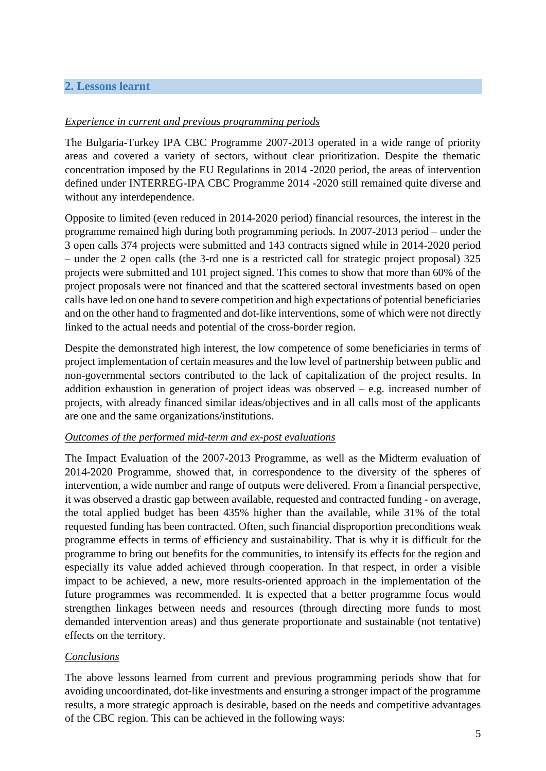## <span id="page-4-0"></span>**2. Lessons learnt**

#### *Experience in current and previous programming periods*

The Bulgaria-Turkey IPA CBC Programme 2007-2013 operated in a wide range of priority areas and covered a variety of sectors, without clear prioritization. Despite the thematic concentration imposed by the EU Regulations in 2014 -2020 period, the areas of intervention defined under INTERREG-IPA CBC Programme 2014 -2020 still remained quite diverse and without any interdependence.

Opposite to limited (even reduced in 2014-2020 period) financial resources, the interest in the programme remained high during both programming periods. In 2007-2013 period – under the 3 open calls 374 projects were submitted and 143 contracts signed while in 2014-2020 period – under the 2 open calls (the 3-rd one is a restricted call for strategic project proposal) 325 projects were submitted and 101 project signed. This comes to show that more than 60% of the project proposals were not financed and that the scattered sectoral investments based on open calls have led on one hand to severe competition and high expectations of potential beneficiaries and on the other hand to fragmented and dot-like interventions, some of which were not directly linked to the actual needs and potential of the cross-border region.

Despite the demonstrated high interest, the low competence of some beneficiaries in terms of project implementation of certain measures and the low level of partnership between public and non-governmental sectors contributed to the lack of capitalization of the project results. In addition exhaustion in generation of project ideas was observed  $-$  e.g. increased number of projects, with already financed similar ideas/objectives and in all calls most of the applicants are one and the same organizations/institutions.

#### *Outcomes of the performed mid-term and ex-post evaluations*

The Impact Evaluation of the 2007-2013 Programme, as well as the Midterm evaluation of 2014-2020 Programme, showed that, in correspondence to the diversity of the spheres of intervention, a wide number and range of outputs were delivered. From a financial perspective, it was observed a drastic gap between available, requested and contracted funding - on average, the total applied budget has been 435% higher than the available, while 31% of the total requested funding has been contracted. Often, such financial disproportion preconditions weak programme effects in terms of efficiency and sustainability. That is why it is difficult for the programme to bring out benefits for the communities, to intensify its effects for the region and especially its value added achieved through cooperation. In that respect, in order a visible impact to be achieved, a new, more results-oriented approach in the implementation of the future programmes was recommended. It is expected that a better programme focus would strengthen linkages between needs and resources (through directing more funds to most demanded intervention areas) and thus generate proportionate and sustainable (not tentative) effects on the territory.

#### *Conclusions*

The above lessons learned from current and previous programming periods show that for avoiding uncoordinated, dot-like investments and ensuring a stronger impact of the programme results, a more strategic approach is desirable, based on the needs and competitive advantages of the CBC region. This can be achieved in the following ways: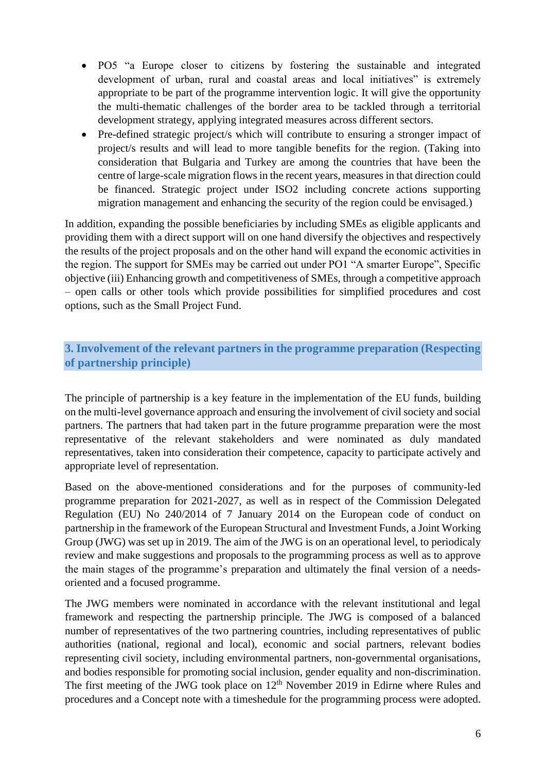- PO5 "a Europe closer to citizens by fostering the sustainable and integrated development of urban, rural and coastal areas and local initiatives" is extremely appropriate to be part of the programme intervention logic. It will give the opportunity the multi-thematic challenges of the border area to be tackled through a territorial development strategy, applying integrated measures across different sectors.
- Pre-defined strategic project/s which will contribute to ensuring a stronger impact of project/s results and will lead to more tangible benefits for the region. (Taking into consideration that Bulgaria and Turkey are among the countries that have been the centre of large-scale migration flows in the recent years, measures in that direction could be financed. Strategic project under ISO2 including concrete actions supporting migration management and enhancing the security of the region could be envisaged.)

In addition, expanding the possible beneficiaries by including SMEs as eligible applicants and providing them with a direct support will on one hand diversify the objectives and respectively the results of the project proposals and on the other hand will expand the economic activities in the region. The support for SMEs may be carried out under PO1 "A smarter Europe", Specific objective (iii) Enhancing growth and competitiveness of SMEs, through a competitive approach – open calls or other tools which provide possibilities for simplified procedures and cost options, such as the Small Project Fund.

# <span id="page-5-0"></span>**3. Involvement of the relevant partners in the programme preparation (Respecting of partnership principle)**

The principle of partnership is a key feature in the implementation of the EU funds, building on the multi-level governance approach and ensuring the involvement of civil society and social partners. The partners that had taken part in the future programme preparation were the most representative of the relevant stakeholders and were nominated as duly mandated representatives, taken into consideration their competence, capacity to participate actively and appropriate level of representation.

Based on the above-mentioned considerations and for the purposes of community-led programme preparation for 2021-2027, as well as in respect of the Commission Delegated Regulation (EU) No 240/2014 of 7 January 2014 on the European code of conduct on partnership in the framework of the European Structural and Investment Funds, a Joint Working Group (JWG) was set up in 2019. The aim of the JWG is on an operational level, to periodicaly review and make suggestions and proposals to the programming process as well as to approve the main stages of the programme's preparation and ultimately the final version of a needsoriented and a focused programme.

The JWG members were nominated in accordance with the relevant institutional and legal framework and respecting the partnership principle. The JWG is composed of a balanced number of representatives of the two partnering countries, including representatives of public authorities (national, regional and local), economic and social partners, relevant bodies representing civil society, including environmental partners, non-governmental organisations, and bodies responsible for promoting social inclusion, gender equality and non-discrimination. The first meeting of the JWG took place on  $12<sup>th</sup>$  November 2019 in Edirne where Rules and procedures and a Concept note with a timeshedule for the programming process were adopted.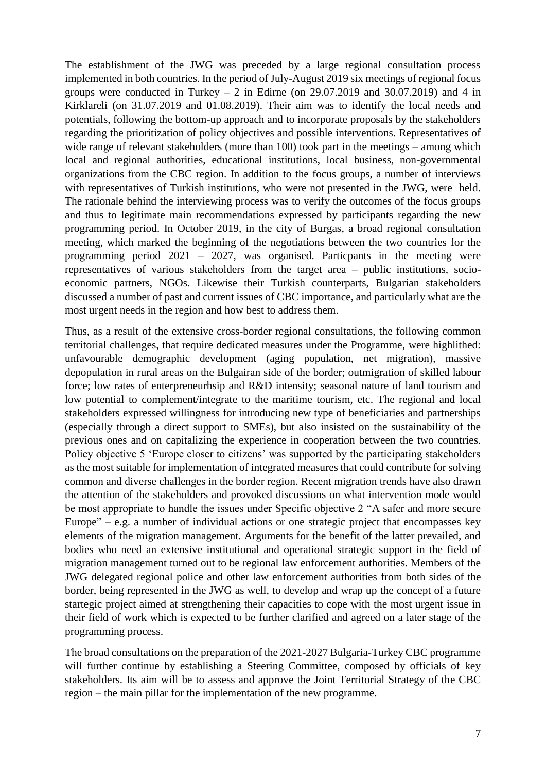The establishment of the JWG was preceded by a large regional consultation process implemented in both countries. In the period of July-August 2019 six meetings of regional focus groups were conducted in Turkey – 2 in Edirne (on  $29.07.2019$  and  $30.07.2019$ ) and 4 in Kirklareli (on 31.07.2019 and 01.08.2019). Their aim was to identify the local needs and potentials, following the bottom-up approach and to incorporate proposals by the stakeholders regarding the prioritization of policy objectives and possible interventions. Representatives of wide range of relevant stakeholders (more than 100) took part in the meetings – among which local and regional authorities, educational institutions, local business, non-governmental organizations from the CBC region. In addition to the focus groups, a number of interviews with representatives of Turkish institutions, who were not presented in the JWG, were held. The rationale behind the interviewing process was to verify the outcomes of the focus groups and thus to legitimate main recommendations expressed by participants regarding the new programming period. In October 2019, in the city of Burgas, a broad regional consultation meeting, which marked the beginning of the negotiations between the two countries for the programming period 2021 – 2027, was organised. Particpants in the meeting were representatives of various stakeholders from the target area – public institutions, socioeconomic partners, NGOs. Likewise their Turkish counterparts, Bulgarian stakeholders discussed a number of past and current issues of CBC importance, and particularly what are the most urgent needs in the region and how best to address them.

Thus, as a result of the extensive cross-border regional consultations, the following common territorial challenges, that require dedicated measures under the Programme, were highlithed: unfavourable demographic development (aging population, net migration), massive depopulation in rural areas on the Bulgairan side of the border; outmigration of skilled labour force; low rates of enterpreneurhsip and R&D intensity; seasonal nature of land tourism and low potential to complement/integrate to the maritime tourism, etc. The regional and local stakeholders expressed willingness for introducing new type of beneficiaries and partnerships (especially through a direct support to SMEs), but also insisted on the sustainability of the previous ones and on capitalizing the experience in cooperation between the two countries. Policy objective 5 'Europe closer to citizens' was supported by the participating stakeholders as the most suitable for implementation of integrated measures that could contribute for solving common and diverse challenges in the border region. Recent migration trends have also drawn the attention of the stakeholders and provoked discussions on what intervention mode would be most appropriate to handle the issues under Specific objective 2 "A safer and more secure Europe" – e.g. a number of individual actions or one strategic project that encompasses key elements of the migration management. Arguments for the benefit of the latter prevailed, and bodies who need an extensive institutional and operational strategic support in the field of migration management turned out to be regional law enforcement authorities. Members of the JWG delegated regional police and other law enforcement authorities from both sides of the border, being represented in the JWG as well, to develop and wrap up the concept of a future startegic project aimed at strengthening their capacities to cope with the most urgent issue in their field of work which is expected to be further clarified and agreed on a later stage of the programming process.

The broad consultations on the preparation of the 2021-2027 Bulgaria-Turkey CBC programme will further continue by establishing a Steering Committee, composed by officials of key stakeholders. Its aim will be to assess and approve the Joint Territorial Strategy of the CBC region – the main pillar for the implementation of the new programme.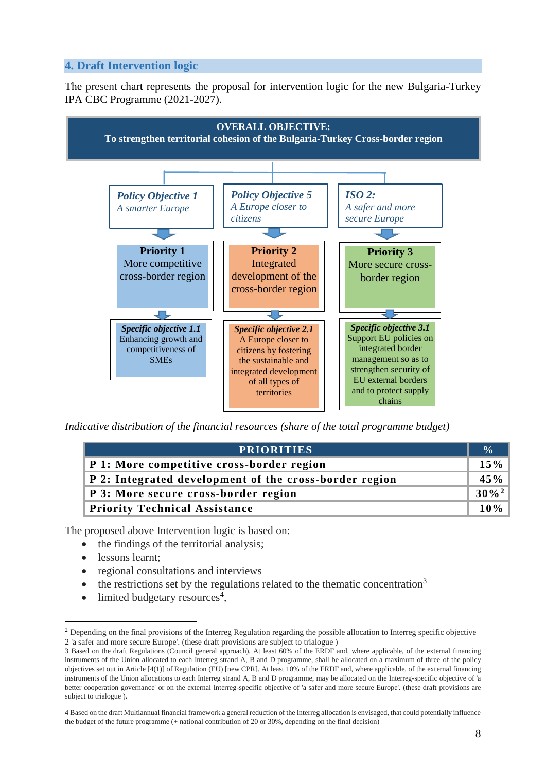## <span id="page-7-0"></span>**4. Draft Intervention logic**

The present chart represents the proposal for intervention logic for the new Bulgaria-Turkey IPA CBC Programme (2021-2027).



*Indicative distribution of the financial resources (share of the total programme budget)*

| <b>PRIORITIES</b>                                      | $\frac{0}{\alpha}$ |
|--------------------------------------------------------|--------------------|
| P 1: More competitive cross-border region              | 15%                |
| P 2: Integrated development of the cross-border region | 45%                |
| P 3: More secure cross-border region                   | $30\%^2$           |
| <b>Priority Technical Assistance</b>                   | $10\%$             |

The proposed above Intervention logic is based on:

- the findings of the territorial analysis;
- lessons learnt:

1

- regional consultations and interviews
- the restrictions set by the regulations related to the thematic concentration<sup>3</sup>
- $\bullet$  limited budgetary resources<sup>4</sup>,

<sup>2</sup> Depending on the final provisions of the Interreg Regulation regarding the possible allocation to Interreg specific objective 2 'a safer and more secure Europe'. (these draft provisions are subject to trialogue )

<sup>3</sup> Based on the draft Regulations (Council general approach), At least 60% of the ERDF and, where applicable, of the external financing instruments of the Union allocated to each Interreg strand A, B and D programme, shall be allocated on a maximum of three of the policy objectives set out in Article [4(1)] of Regulation (EU) [new CPR]. At least 10% of the ERDF and, where applicable, of the external financing instruments of the Union allocations to each Interreg strand A, B and D programme, may be allocated on the Interreg-specific objective of 'a better cooperation governance' or on the external Interreg-specific objective of 'a safer and more secure Europe'. (these draft provisions are subject to trialogue ).

<sup>4</sup> Based on the draft Multiannual financial framework a general reduction of the Interreg allocation is envisaged, that could potentially influence the budget of the future programme (+ national contribution of 20 or 30%, depending on the final decision)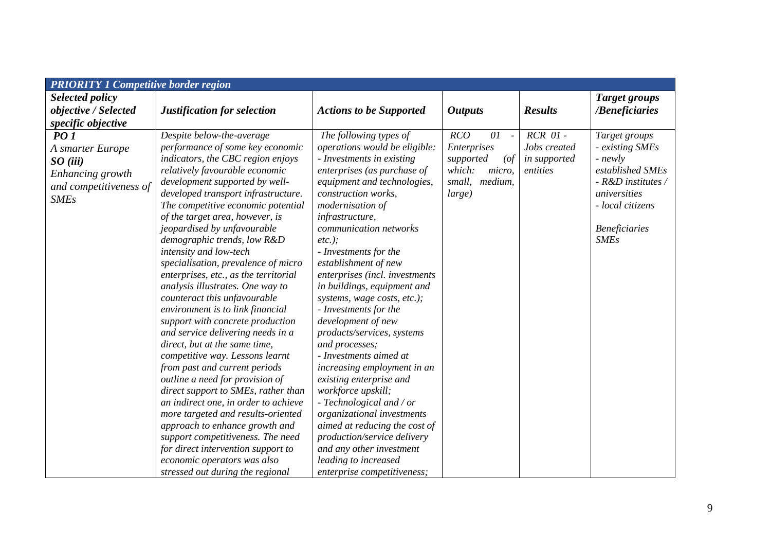| <b>PRIORITY 1 Competitive border region</b>                                                                             |                                                                                                                                                                                                                                                                                                                                                                                                                                                                                                                                                                                                                                                                                                                                                                                            |                                                                                                                                                                                                                                                                                                                                                                                                                                                                                                                                                                                                    |                                                                                                                           |                                                          |                                                                                                                                                                                    |
|-------------------------------------------------------------------------------------------------------------------------|--------------------------------------------------------------------------------------------------------------------------------------------------------------------------------------------------------------------------------------------------------------------------------------------------------------------------------------------------------------------------------------------------------------------------------------------------------------------------------------------------------------------------------------------------------------------------------------------------------------------------------------------------------------------------------------------------------------------------------------------------------------------------------------------|----------------------------------------------------------------------------------------------------------------------------------------------------------------------------------------------------------------------------------------------------------------------------------------------------------------------------------------------------------------------------------------------------------------------------------------------------------------------------------------------------------------------------------------------------------------------------------------------------|---------------------------------------------------------------------------------------------------------------------------|----------------------------------------------------------|------------------------------------------------------------------------------------------------------------------------------------------------------------------------------------|
| Selected policy                                                                                                         |                                                                                                                                                                                                                                                                                                                                                                                                                                                                                                                                                                                                                                                                                                                                                                                            |                                                                                                                                                                                                                                                                                                                                                                                                                                                                                                                                                                                                    |                                                                                                                           |                                                          | <b>Target groups</b>                                                                                                                                                               |
|                                                                                                                         |                                                                                                                                                                                                                                                                                                                                                                                                                                                                                                                                                                                                                                                                                                                                                                                            |                                                                                                                                                                                                                                                                                                                                                                                                                                                                                                                                                                                                    |                                                                                                                           | <b>Results</b>                                           |                                                                                                                                                                                    |
| specific objective                                                                                                      |                                                                                                                                                                                                                                                                                                                                                                                                                                                                                                                                                                                                                                                                                                                                                                                            |                                                                                                                                                                                                                                                                                                                                                                                                                                                                                                                                                                                                    |                                                                                                                           |                                                          |                                                                                                                                                                                    |
| objective / Selected<br>PO1<br>A smarter Europe<br>SO(iii)<br>Enhancing growth<br>and competitiveness of<br><b>SMEs</b> | Justification for selection<br>Despite below-the-average<br>performance of some key economic<br>indicators, the CBC region enjoys<br>relatively favourable economic<br>development supported by well-<br>developed transport infrastructure.<br>The competitive economic potential<br>of the target area, however, is<br><i>jeopardised by unfavourable</i><br>demographic trends, low R&D<br>intensity and low-tech<br>specialisation, prevalence of micro<br>enterprises, etc., as the territorial<br>analysis illustrates. One way to<br>counteract this unfavourable<br>environment is to link financial<br>support with concrete production<br>and service delivering needs in a<br>direct, but at the same time,<br>competitive way. Lessons learnt<br>from past and current periods | <b>Actions to be Supported</b><br>The following types of<br>operations would be eligible:<br>- Investments in existing<br>enterprises (as purchase of<br>equipment and technologies,<br>construction works,<br>modernisation of<br>infrastructure,<br>communication networks<br>$etc.$ );<br>- Investments for the<br>establishment of new<br>enterprises (incl. investments<br>in buildings, equipment and<br>systems, wage costs, etc.);<br>- Investments for the<br>development of new<br>products/services, systems<br>and processes;<br>- Investments aimed at<br>increasing employment in an | <b>Outputs</b><br>RCO<br>01<br>$\sim$<br>Enterprises<br>supported<br>(<br>which:<br>micro,<br>small,<br>medium,<br>large) | $RCR$ $01$ -<br>Jobs created<br>in supported<br>entities | /Beneficiaries<br>Target groups<br>- existing SMEs<br>- newly<br>established SMEs<br>- R&D institutes /<br>universities<br>- local citizens<br><b>Beneficiaries</b><br><b>SMEs</b> |
|                                                                                                                         | outline a need for provision of<br>direct support to SMEs, rather than                                                                                                                                                                                                                                                                                                                                                                                                                                                                                                                                                                                                                                                                                                                     | existing enterprise and<br>workforce upskill;                                                                                                                                                                                                                                                                                                                                                                                                                                                                                                                                                      |                                                                                                                           |                                                          |                                                                                                                                                                                    |
|                                                                                                                         | an indirect one, in order to achieve<br>more targeted and results-oriented                                                                                                                                                                                                                                                                                                                                                                                                                                                                                                                                                                                                                                                                                                                 | $- Technological$ and / or<br>organizational investments                                                                                                                                                                                                                                                                                                                                                                                                                                                                                                                                           |                                                                                                                           |                                                          |                                                                                                                                                                                    |
|                                                                                                                         | approach to enhance growth and                                                                                                                                                                                                                                                                                                                                                                                                                                                                                                                                                                                                                                                                                                                                                             | aimed at reducing the cost of                                                                                                                                                                                                                                                                                                                                                                                                                                                                                                                                                                      |                                                                                                                           |                                                          |                                                                                                                                                                                    |
|                                                                                                                         | support competitiveness. The need                                                                                                                                                                                                                                                                                                                                                                                                                                                                                                                                                                                                                                                                                                                                                          | production/service delivery                                                                                                                                                                                                                                                                                                                                                                                                                                                                                                                                                                        |                                                                                                                           |                                                          |                                                                                                                                                                                    |
|                                                                                                                         | for direct intervention support to                                                                                                                                                                                                                                                                                                                                                                                                                                                                                                                                                                                                                                                                                                                                                         | and any other investment                                                                                                                                                                                                                                                                                                                                                                                                                                                                                                                                                                           |                                                                                                                           |                                                          |                                                                                                                                                                                    |
|                                                                                                                         | economic operators was also                                                                                                                                                                                                                                                                                                                                                                                                                                                                                                                                                                                                                                                                                                                                                                | leading to increased                                                                                                                                                                                                                                                                                                                                                                                                                                                                                                                                                                               |                                                                                                                           |                                                          |                                                                                                                                                                                    |
|                                                                                                                         | stressed out during the regional                                                                                                                                                                                                                                                                                                                                                                                                                                                                                                                                                                                                                                                                                                                                                           | enterprise competitiveness;                                                                                                                                                                                                                                                                                                                                                                                                                                                                                                                                                                        |                                                                                                                           |                                                          |                                                                                                                                                                                    |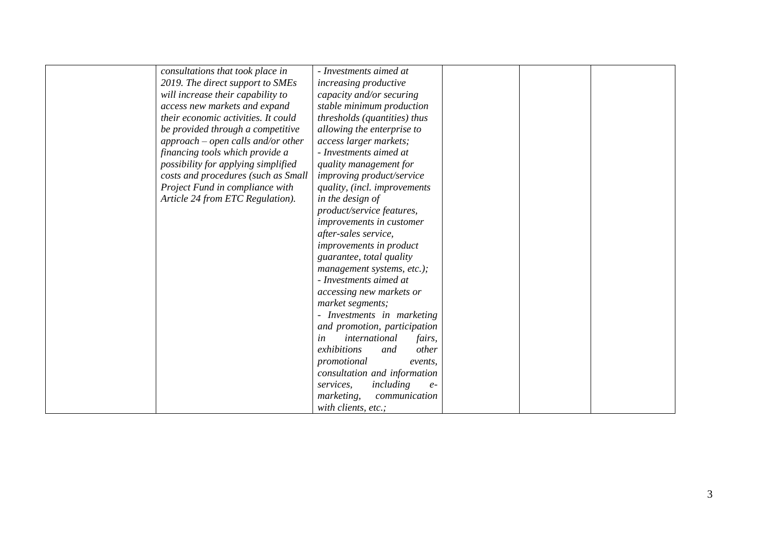| consultations that took place in    | - Investments aimed at         |  |  |
|-------------------------------------|--------------------------------|--|--|
| 2019. The direct support to SMEs    | increasing productive          |  |  |
| will increase their capability to   | capacity and/or securing       |  |  |
| access new markets and expand       | stable minimum production      |  |  |
| their economic activities. It could | thresholds (quantities) thus   |  |  |
| be provided through a competitive   | allowing the enterprise to     |  |  |
| approach – open calls and/or other  | access larger markets;         |  |  |
| financing tools which provide a     | - Investments aimed at         |  |  |
| possibility for applying simplified | quality management for         |  |  |
| costs and procedures (such as Small | improving product/service      |  |  |
| Project Fund in compliance with     | quality, (incl. improvements   |  |  |
| Article 24 from ETC Regulation).    | in the design of               |  |  |
|                                     | product/service features,      |  |  |
|                                     | improvements in customer       |  |  |
|                                     | after-sales service,           |  |  |
|                                     | improvements in product        |  |  |
|                                     | guarantee, total quality       |  |  |
|                                     | management systems, etc.);     |  |  |
|                                     | - Investments aimed at         |  |  |
|                                     | accessing new markets or       |  |  |
|                                     | market segments;               |  |  |
|                                     | - Investments in marketing     |  |  |
|                                     | and promotion, participation   |  |  |
|                                     | international<br>in<br>fairs,  |  |  |
|                                     | exhibitions<br>other<br>and    |  |  |
|                                     | promotional<br>events,         |  |  |
|                                     | consultation and information   |  |  |
|                                     | services,<br>including<br>$e-$ |  |  |
|                                     | marketing,<br>communication    |  |  |
|                                     | with clients, etc.;            |  |  |
|                                     |                                |  |  |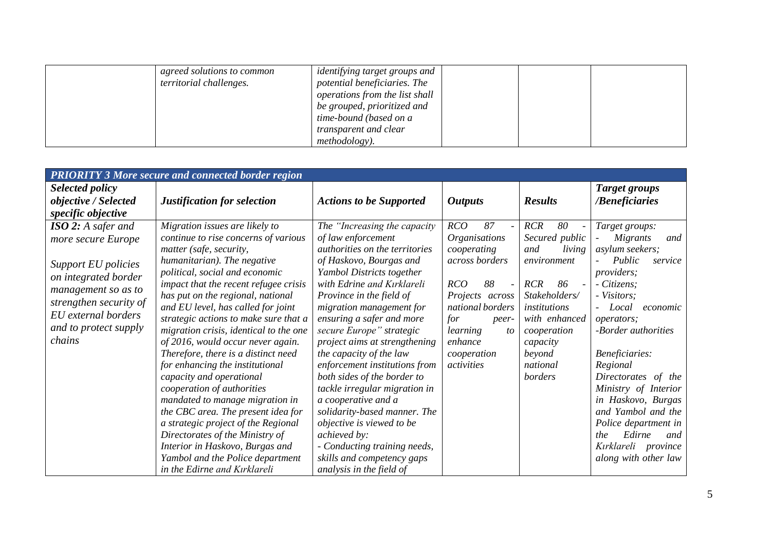| agreed solutions to common<br>territorial challenges. | identifying target groups and<br>potential beneficiaries. The<br>operations from the list shall<br>be grouped, prioritized and<br>time-bound (based on a<br>transparent and clear |  |  |
|-------------------------------------------------------|-----------------------------------------------------------------------------------------------------------------------------------------------------------------------------------|--|--|
|                                                       | <i>methodology</i> ).                                                                                                                                                             |  |  |

|                                                                                                                                                                                                    | <b>PRIORITY 3 More secure and connected border region</b>                                                                                                                                                                                                                                                                                                                                                                                                                                                                                                                                                                                                                                                                                                                                                    |                                                                                                                                                                                                                                                                                                                                                                                                                                                                                                                                                                                                                                                        |                                                                                                                                                                                                                                                                 |                                                                                                                                                                                                             |                                                                                                                                                                                                                                                                                                                                                                                                                   |
|----------------------------------------------------------------------------------------------------------------------------------------------------------------------------------------------------|--------------------------------------------------------------------------------------------------------------------------------------------------------------------------------------------------------------------------------------------------------------------------------------------------------------------------------------------------------------------------------------------------------------------------------------------------------------------------------------------------------------------------------------------------------------------------------------------------------------------------------------------------------------------------------------------------------------------------------------------------------------------------------------------------------------|--------------------------------------------------------------------------------------------------------------------------------------------------------------------------------------------------------------------------------------------------------------------------------------------------------------------------------------------------------------------------------------------------------------------------------------------------------------------------------------------------------------------------------------------------------------------------------------------------------------------------------------------------------|-----------------------------------------------------------------------------------------------------------------------------------------------------------------------------------------------------------------------------------------------------------------|-------------------------------------------------------------------------------------------------------------------------------------------------------------------------------------------------------------|-------------------------------------------------------------------------------------------------------------------------------------------------------------------------------------------------------------------------------------------------------------------------------------------------------------------------------------------------------------------------------------------------------------------|
| Selected policy<br>objective / Selected<br>specific objective                                                                                                                                      | Justification for selection                                                                                                                                                                                                                                                                                                                                                                                                                                                                                                                                                                                                                                                                                                                                                                                  | <b>Actions to be Supported</b>                                                                                                                                                                                                                                                                                                                                                                                                                                                                                                                                                                                                                         | <b>Outputs</b>                                                                                                                                                                                                                                                  | <b>Results</b>                                                                                                                                                                                              | <b>Target groups</b><br>/Beneficiaries                                                                                                                                                                                                                                                                                                                                                                            |
| ISO 2: A safer and<br>more secure Europe<br>Support EU policies<br>on integrated border<br>management so as to<br>strengthen security of<br>EU external borders<br>and to protect supply<br>chains | Migration issues are likely to<br>continue to rise concerns of various<br>matter (safe, security,<br>humanitarian). The negative<br>political, social and economic<br>impact that the recent refugee crisis<br>has put on the regional, national<br>and EU level, has called for joint<br>strategic actions to make sure that a<br>migration crisis, identical to the one<br>of 2016, would occur never again.<br>Therefore, there is a distinct need<br>for enhancing the institutional<br>capacity and operational<br>cooperation of authorities<br>mandated to manage migration in<br>the CBC area. The present idea for<br>a strategic project of the Regional<br>Directorates of the Ministry of<br>Interior in Haskovo, Burgas and<br>Yambol and the Police department<br>in the Edirne and Kırklareli | The "Increasing the capacity<br>of law enforcement<br>authorities on the territories<br>of Haskovo, Bourgas and<br>Yambol Districts together<br>with Edrine and Kırklareli<br>Province in the field of<br>migration management for<br>ensuring a safer and more<br>secure Europe" strategic<br>project aims at strengthening<br>the capacity of the law<br>enforcement institutions from<br>both sides of the border to<br>tackle irregular migration in<br>a cooperative and a<br>solidarity-based manner. The<br>objective is viewed to be<br>achieved by:<br>- Conducting training needs,<br>skills and competency gaps<br>analysis in the field of | RCO<br>87<br>$\overline{\phantom{a}}$<br><i><b>Organisations</b></i><br>cooperating<br>across borders<br>RCO<br>88<br>$\overline{\phantom{a}}$<br>Projects across<br>national borders<br>for<br>peer-<br>learning<br>to<br>enhance<br>cooperation<br>activities | <b>RCR</b><br>80<br>Secured public<br>living<br>and<br>environment<br><b>RCR</b><br>86<br>Stakeholders/<br><i>institutions</i><br>with enhanced<br>cooperation<br>capacity<br>beyond<br>national<br>borders | Target groups:<br><i>Migrants</i><br>and<br>asylum seekers;<br>Public<br>service<br>providers;<br>- Citizens;<br>- Visitors;<br>- Local<br>economic<br>operators;<br>-Border authorities<br>Beneficiaries:<br>Regional<br>Directorates of the<br>Ministry of Interior<br>in Haskovo, Burgas<br>and Yambol and the<br>Police department in<br>Edirne<br>the.<br>and<br>Kırklareli province<br>along with other law |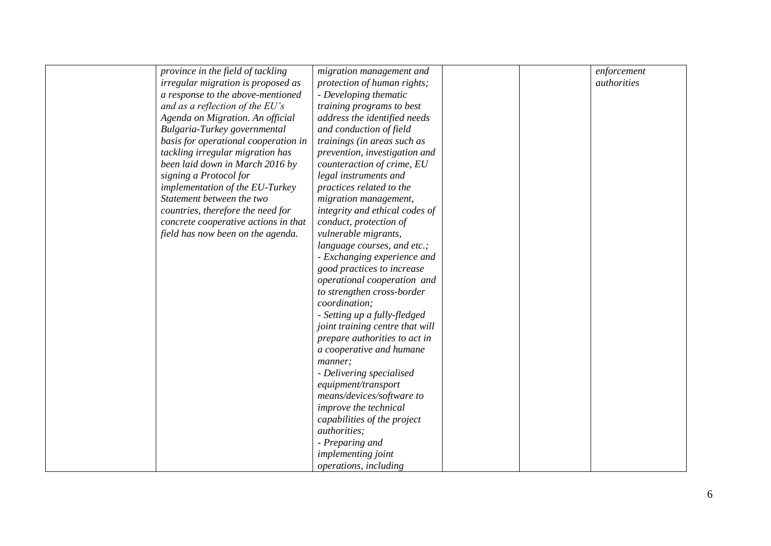| province in the field of tackling    | migration management and        |  | enforcement |
|--------------------------------------|---------------------------------|--|-------------|
| irregular migration is proposed as   | protection of human rights;     |  | authorities |
| a response to the above-mentioned    | - Developing thematic           |  |             |
| and as a reflection of the EU's      | training programs to best       |  |             |
| Agenda on Migration. An official     | address the identified needs    |  |             |
| Bulgaria-Turkey governmental         | and conduction of field         |  |             |
| basis for operational cooperation in | trainings (in areas such as     |  |             |
| tackling irregular migration has     | prevention, investigation and   |  |             |
| been laid down in March 2016 by      | counteraction of crime, EU      |  |             |
| signing a Protocol for               | legal instruments and           |  |             |
| implementation of the EU-Turkey      | practices related to the        |  |             |
| Statement between the two            | migration management,           |  |             |
| countries, therefore the need for    | integrity and ethical codes of  |  |             |
| concrete cooperative actions in that | conduct, protection of          |  |             |
| field has now been on the agenda.    | vulnerable migrants,            |  |             |
|                                      | language courses, and etc.;     |  |             |
|                                      | - Exchanging experience and     |  |             |
|                                      | good practices to increase      |  |             |
|                                      | operational cooperation and     |  |             |
|                                      | to strengthen cross-border      |  |             |
|                                      | coordination;                   |  |             |
|                                      | - Setting up a fully-fledged    |  |             |
|                                      | joint training centre that will |  |             |
|                                      | prepare authorities to act in   |  |             |
|                                      | a cooperative and humane        |  |             |
|                                      | manner;                         |  |             |
|                                      | - Delivering specialised        |  |             |
|                                      | equipment/transport             |  |             |
|                                      | means/devices/software to       |  |             |
|                                      | improve the technical           |  |             |
|                                      | capabilities of the project     |  |             |
|                                      | <i>authorities;</i>             |  |             |
|                                      | - Preparing and                 |  |             |
|                                      | implementing joint              |  |             |
|                                      | <i>operations, including</i>    |  |             |
|                                      |                                 |  |             |